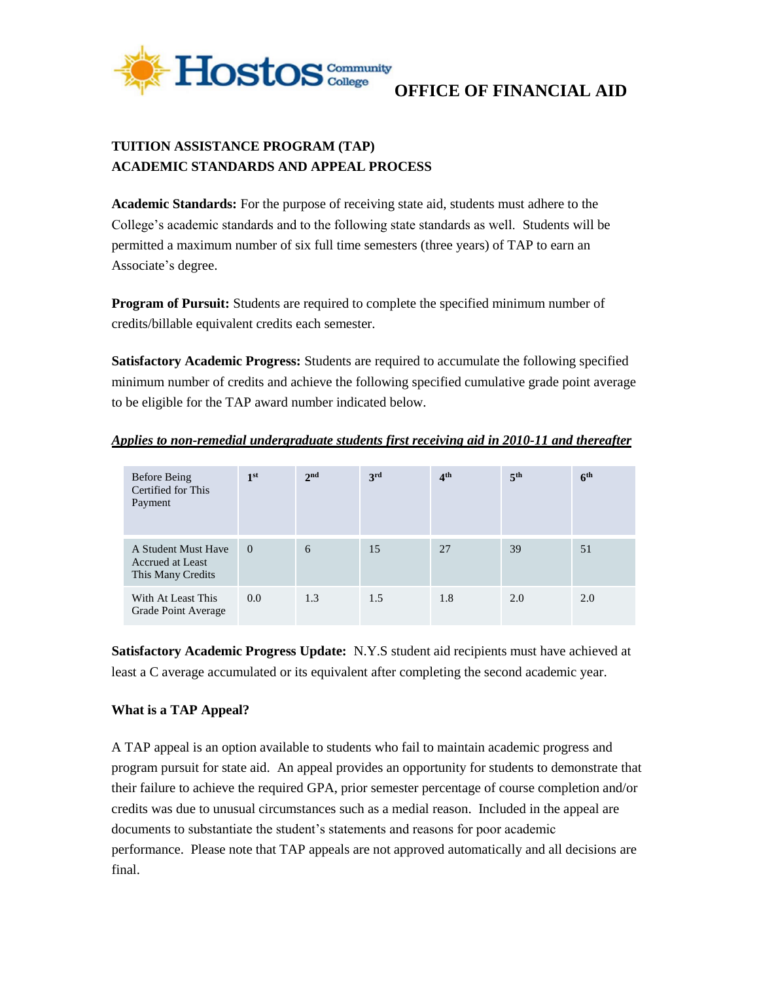

# **OFFICE OF FINANCIAL AID**

# **TUITION ASSISTANCE PROGRAM (TAP) ACADEMIC STANDARDS AND APPEAL PROCESS**

**Academic Standards:** For the purpose of receiving state aid, students must adhere to the College's academic standards and to the following state standards as well. Students will be permitted a maximum number of six full time semesters (three years) of TAP to earn an Associate's degree.

**Program of Pursuit:** Students are required to complete the specified minimum number of credits/billable equivalent credits each semester.

**Satisfactory Academic Progress:** Students are required to accumulate the following specified minimum number of credits and achieve the following specified cumulative grade point average to be eligible for the TAP award number indicated below.

| Before Being<br>Certified for This<br>Payment                       | 1 <sup>st</sup> | 2 <sub>nd</sub> | 3 <sup>rd</sup> | 4 <sup>th</sup> | 5 <sup>th</sup> | 6 <sup>th</sup> |
|---------------------------------------------------------------------|-----------------|-----------------|-----------------|-----------------|-----------------|-----------------|
| A Student Must Have<br><b>Accrued at Least</b><br>This Many Credits | $\Omega$        | 6               | 15              | 27              | 39              | 51              |
| With At Least This<br>Grade Point Average                           | 0.0             | 1.3             | 1.5             | 1.8             | 2.0             | 2.0             |

#### *Applies to non-remedial undergraduate students first receiving aid in 2010-11 and thereafter*

**Satisfactory Academic Progress Update:** N.Y.S student aid recipients must have achieved at least a C average accumulated or its equivalent after completing the second academic year.

### **What is a TAP Appeal?**

A TAP appeal is an option available to students who fail to maintain academic progress and program pursuit for state aid. An appeal provides an opportunity for students to demonstrate that their failure to achieve the required GPA, prior semester percentage of course completion and/or credits was due to unusual circumstances such as a medial reason. Included in the appeal are documents to substantiate the student's statements and reasons for poor academic performance. Please note that TAP appeals are not approved automatically and all decisions are final.